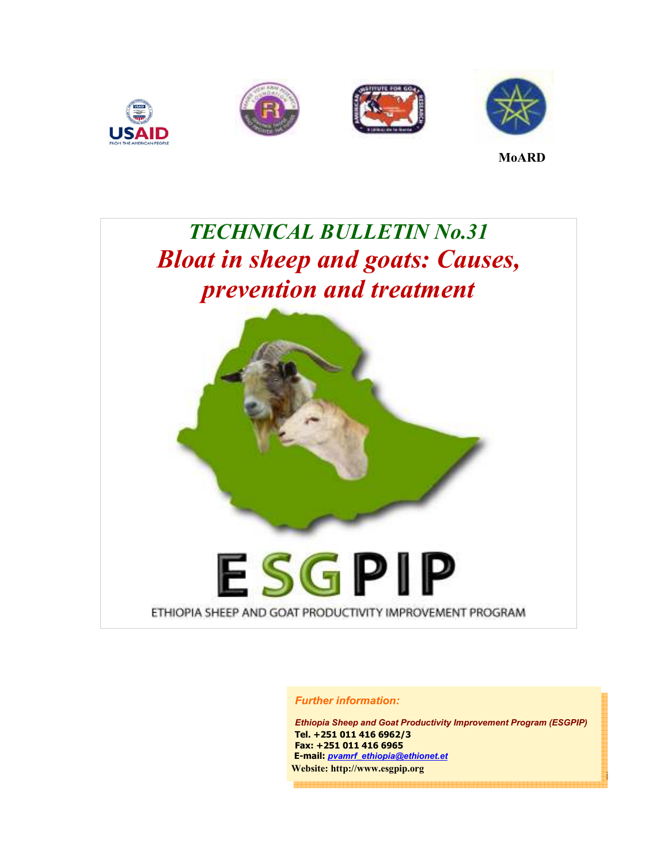







**MoARD**

# *TECHNICAL BULLETIN No.31 Bloat in sheep and goats: Causes, prevention and treatment*



#### *Further information:*

*Ethiopia Sheep and Goat Productivity Improvement Program (ESGPIP)*  **Tel. +251 011 416 6962/3 Fax: +251 011 416 6965 E-mail:** *pvamrf\_ethiopia@ethionet.et*  **Website: http://www.esgpip.org**

i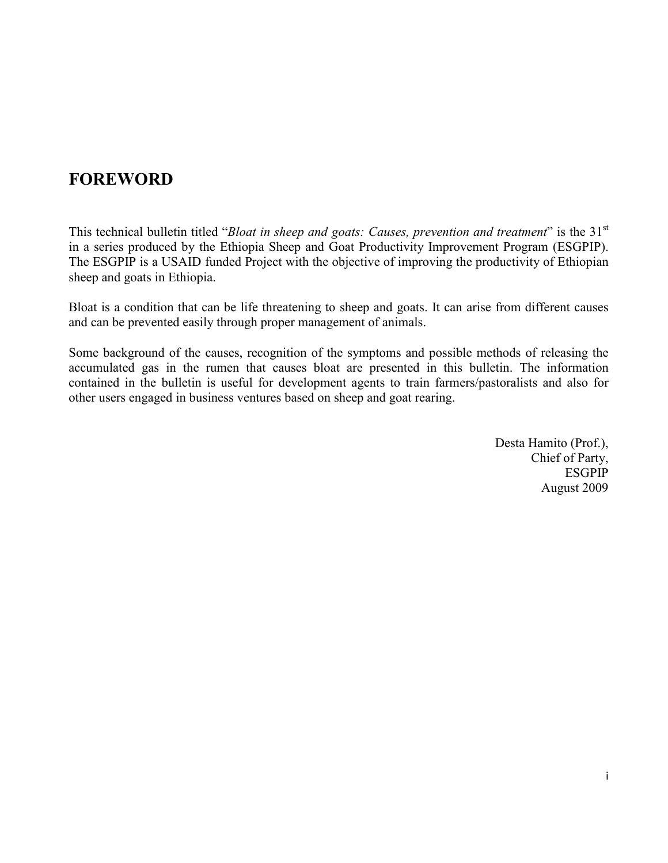## **FOREWORD**

This technical bulletin titled "*Bloat in sheep and goats: Causes, prevention and treatment*" is the 31st in a series produced by the Ethiopia Sheep and Goat Productivity Improvement Program (ESGPIP). The ESGPIP is a USAID funded Project with the objective of improving the productivity of Ethiopian sheep and goats in Ethiopia.

Bloat is a condition that can be life threatening to sheep and goats. It can arise from different causes and can be prevented easily through proper management of animals.

Some background of the causes, recognition of the symptoms and possible methods of releasing the accumulated gas in the rumen that causes bloat are presented in this bulletin. The information contained in the bulletin is useful for development agents to train farmers/pastoralists and also for other users engaged in business ventures based on sheep and goat rearing.

> Desta Hamito (Prof.), Chief of Party, ESGPIP August 2009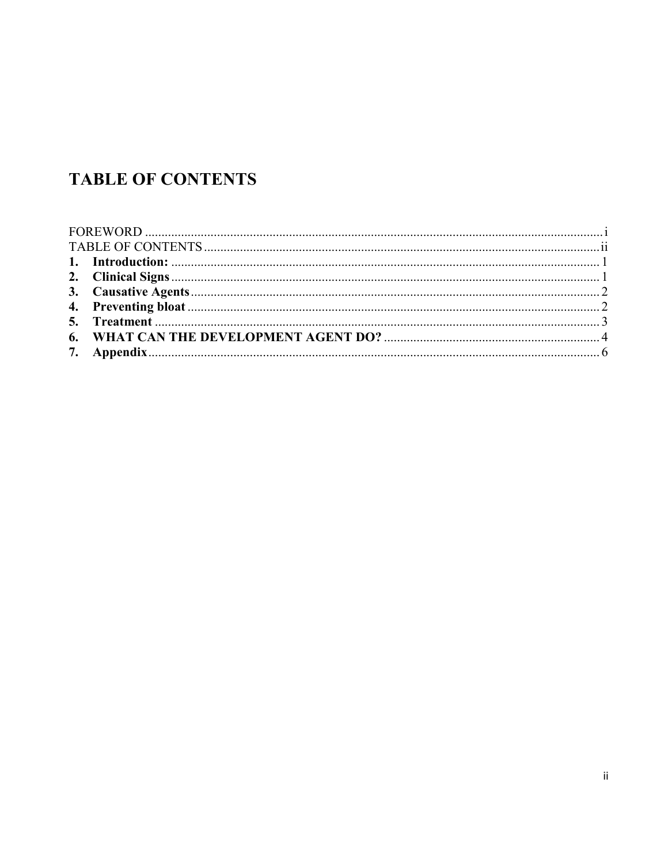## **TABLE OF CONTENTS**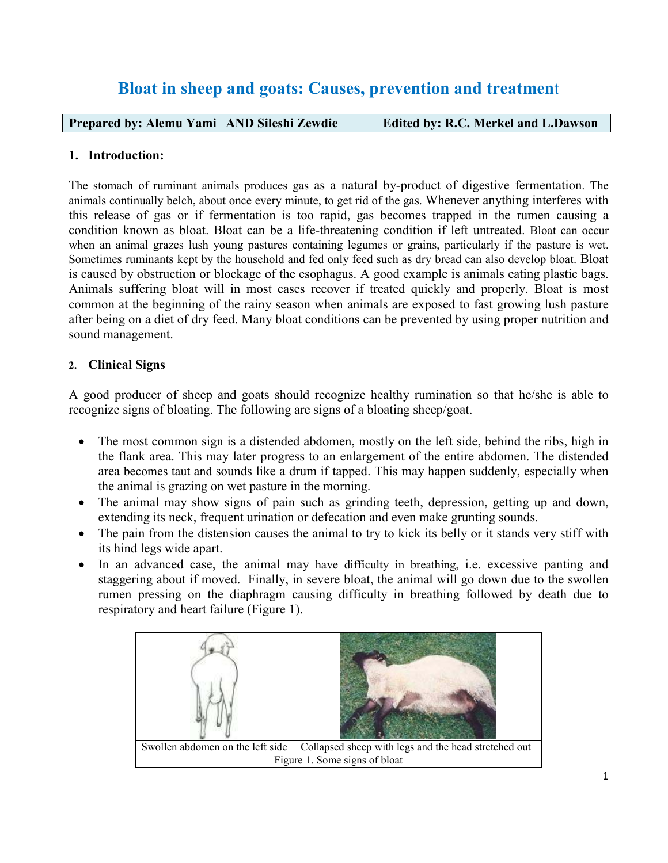### **Bloat in sheep and goats: Causes, prevention and treatmen**t

**Prepared by: Alemu Yami AND Sileshi Zewdie Edited by: R.C. Merkel and L.Dawson** 

#### **1. Introduction:**

The stomach of ruminant animals produces gas as a natural by-product of digestive fermentation. The animals continually belch, about once every minute, to get rid of the gas. Whenever anything interferes with this release of gas or if fermentation is too rapid, gas becomes trapped in the rumen causing a condition known as bloat. Bloat can be a life-threatening condition if left untreated. Bloat can occur when an animal grazes lush young pastures containing legumes or grains, particularly if the pasture is wet. Sometimes ruminants kept by the household and fed only feed such as dry bread can also develop bloat. Bloat is caused by obstruction or blockage of the esophagus. A good example is animals eating plastic bags. Animals suffering bloat will in most cases recover if treated quickly and properly. Bloat is most common at the beginning of the rainy season when animals are exposed to fast growing lush pasture after being on a diet of dry feed. Many bloat conditions can be prevented by using proper nutrition and sound management.

#### **2. Clinical Signs**

A good producer of sheep and goats should recognize healthy rumination so that he/she is able to recognize signs of bloating. The following are signs of a bloating sheep/goat.

- The most common sign is a distended abdomen, mostly on the left side, behind the ribs, high in the flank area. This may later progress to an enlargement of the entire abdomen. The distended area becomes taut and sounds like a drum if tapped. This may happen suddenly, especially when the animal is grazing on wet pasture in the morning.
- The animal may show signs of pain such as grinding teeth, depression, getting up and down, extending its neck, frequent urination or defecation and even make grunting sounds.
- The pain from the distension causes the animal to try to kick its belly or it stands very stiff with its hind legs wide apart.
- In an advanced case, the animal may have difficulty in breathing, i.e. excessive panting and staggering about if moved. Finally, in severe bloat, the animal will go down due to the swollen rumen pressing on the diaphragm causing difficulty in breathing followed by death due to respiratory and heart failure (Figure 1).

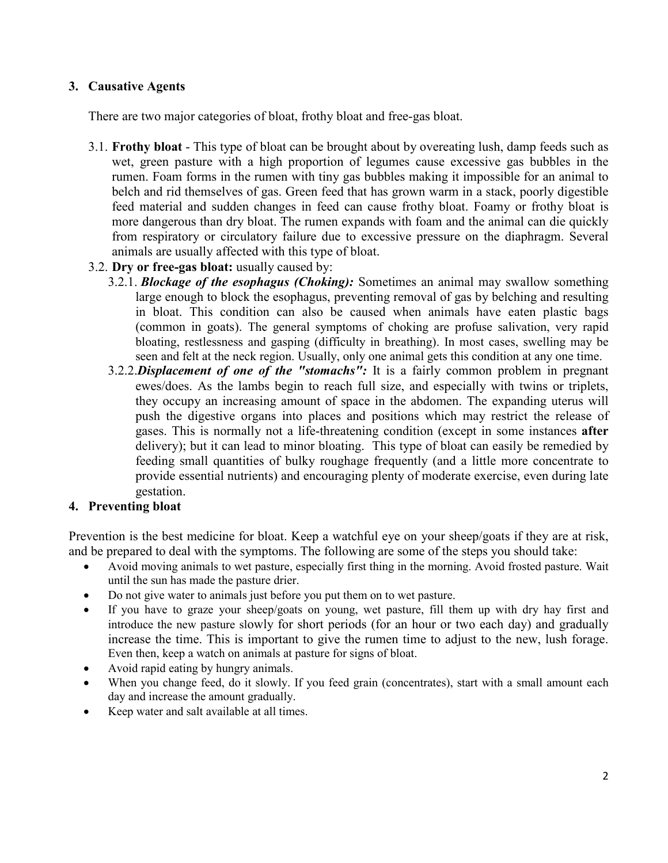#### **3. Causative Agents**

There are two major categories of bloat, frothy bloat and free-gas bloat.

- 3.1. **Frothy bloat** This type of bloat can be brought about by overeating lush, damp feeds such as wet, green pasture with a high proportion of legumes cause excessive gas bubbles in the rumen. Foam forms in the rumen with tiny gas bubbles making it impossible for an animal to belch and rid themselves of gas. Green feed that has grown warm in a stack, poorly digestible feed material and sudden changes in feed can cause frothy bloat. Foamy or frothy bloat is more dangerous than dry bloat. The rumen expands with foam and the animal can die quickly from respiratory or circulatory failure due to excessive pressure on the diaphragm. Several animals are usually affected with this type of bloat.
- 3.2. **Dry or free-gas bloat:** usually caused by:
	- 3.2.1. *Blockage of the esophagus (Choking):* Sometimes an animal may swallow something large enough to block the esophagus, preventing removal of gas by belching and resulting in bloat. This condition can also be caused when animals have eaten plastic bags (common in goats). The general symptoms of choking are profuse salivation, very rapid bloating, restlessness and gasping (difficulty in breathing). In most cases, swelling may be seen and felt at the neck region. Usually, only one animal gets this condition at any one time.
	- 3.2.2.*Displacement of one of the "stomachs":* It is a fairly common problem in pregnant ewes/does. As the lambs begin to reach full size, and especially with twins or triplets, they occupy an increasing amount of space in the abdomen. The expanding uterus will push the digestive organs into places and positions which may restrict the release of gases. This is normally not a life-threatening condition (except in some instances **after** delivery); but it can lead to minor bloating. This type of bloat can easily be remedied by feeding small quantities of bulky roughage frequently (and a little more concentrate to provide essential nutrients) and encouraging plenty of moderate exercise, even during late gestation.

#### **4. Preventing bloat**

Prevention is the best medicine for bloat. Keep a watchful eye on your sheep/goats if they are at risk, and be prepared to deal with the symptoms. The following are some of the steps you should take:

- Avoid moving animals to wet pasture, especially first thing in the morning. Avoid frosted pasture. Wait until the sun has made the pasture drier.
- Do not give water to animals just before you put them on to wet pasture.
- If you have to graze your sheep/goats on young, wet pasture, fill them up with dry hay first and introduce the new pasture slowly for short periods (for an hour or two each day) and gradually increase the time. This is important to give the rumen time to adjust to the new, lush forage. Even then, keep a watch on animals at pasture for signs of bloat.
- Avoid rapid eating by hungry animals.
- When you change feed, do it slowly. If you feed grain (concentrates), start with a small amount each day and increase the amount gradually.
- Keep water and salt available at all times.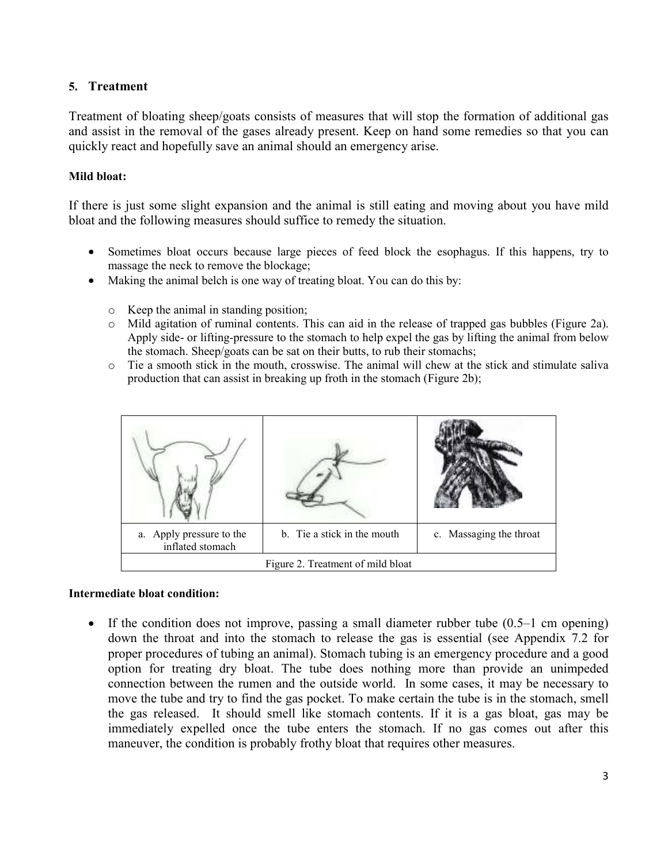#### **5. Treatment**

Treatment of bloating sheep/goats consists of measures that will stop the formation of additional gas and assist in the removal of the gases already present. Keep on hand some remedies so that you can quickly react and hopefully save an animal should an emergency arise.

#### **Mild bloat:**

If there is just some slight expansion and the animal is still eating and moving about you have mild bloat and the following measures should suffice to remedy the situation.

- Sometimes bloat occurs because large pieces of feed block the esophagus. If this happens, try to massage the neck to remove the blockage;
- Making the animal belch is one way of treating bloat. You can do this by:
	- o Keep the animal in standing position;
	- o Mild agitation of ruminal contents. This can aid in the release of trapped gas bubbles (Figure 2a). Apply side- or lifting-pressure to the stomach to help expel the gas by lifting the animal from below the stomach. Sheep/goats can be sat on their butts, to rub their stomachs;
	- o Tie a smooth stick in the mouth, crosswise. The animal will chew at the stick and stimulate saliva production that can assist in breaking up froth in the stomach (Figure 2b);

| a. Apply pressure to the<br>inflated stomach | b. Tie a stick in the mouth | c. Massaging the throat |  |  |
|----------------------------------------------|-----------------------------|-------------------------|--|--|
| Figure 2. Treatment of mild bloat            |                             |                         |  |  |

#### **Intermediate bloat condition:**

• If the condition does not improve, passing a small diameter rubber tube (0.5–1 cm opening) down the throat and into the stomach to release the gas is essential (see Appendix 7.2 for proper procedures of tubing an animal). Stomach tubing is an emergency procedure and a good option for treating dry bloat. The tube does nothing more than provide an unimpeded connection between the rumen and the outside world. In some cases, it may be necessary to move the tube and try to find the gas pocket. To make certain the tube is in the stomach, smell the gas released. It should smell like stomach contents. If it is a gas bloat, gas may be immediately expelled once the tube enters the stomach. If no gas comes out after this maneuver, the condition is probably frothy bloat that requires other measures.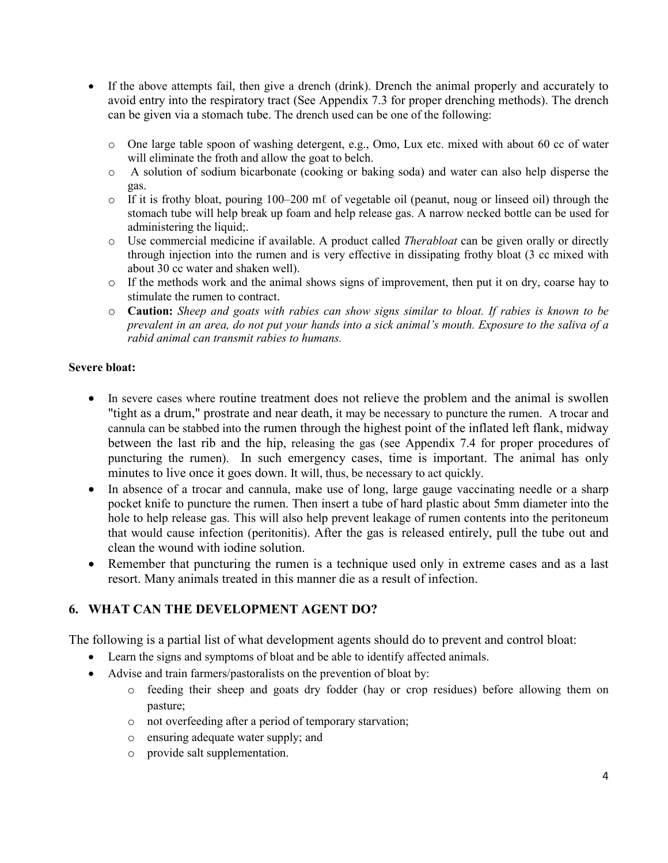- If the above attempts fail, then give a drench (drink). Drench the animal properly and accurately to avoid entry into the respiratory tract (See Appendix 7.3 for proper drenching methods). The drench can be given via a stomach tube. The drench used can be one of the following:
	- o One large table spoon of washing detergent, e.g., Omo, Lux etc. mixed with about 60 cc of water will eliminate the froth and allow the goat to belch.
	- o A solution of sodium bicarbonate (cooking or baking soda) and water can also help disperse the gas.
	- $\circ$  If it is frothy bloat, pouring 100–200 m $\ell$  of vegetable oil (peanut, noug or linseed oil) through the stomach tube will help break up foam and help release gas. A narrow necked bottle can be used for administering the liquid;.
	- o Use commercial medicine if available. A product called *Therabloat* can be given orally or directly through injection into the rumen and is very effective in dissipating frothy bloat (3 cc mixed with about 30 cc water and shaken well).
	- o If the methods work and the animal shows signs of improvement, then put it on dry, coarse hay to stimulate the rumen to contract.
	- o **Caution:** *Sheep and goats with rabies can show signs similar to bloat. If rabies is known to be prevalent in an area, do not put your hands into a sick animal's mouth. Exposure to the saliva of a rabid animal can transmit rabies to humans.*

#### **Severe bloat:**

- In severe cases where routine treatment does not relieve the problem and the animal is swollen "tight as a drum," prostrate and near death, it may be necessary to puncture the rumen. A trocar and cannula can be stabbed into the rumen through the highest point of the inflated left flank, midway between the last rib and the hip, releasing the gas (see Appendix 7.4 for proper procedures of puncturing the rumen). In such emergency cases, time is important. The animal has only minutes to live once it goes down. It will, thus, be necessary to act quickly.
- In absence of a trocar and cannula, make use of long, large gauge vaccinating needle or a sharp pocket knife to puncture the rumen. Then insert a tube of hard plastic about 5mm diameter into the hole to help release gas. This will also help prevent leakage of rumen contents into the peritoneum that would cause infection (peritonitis). After the gas is released entirely, pull the tube out and clean the wound with iodine solution.
- Remember that puncturing the rumen is a technique used only in extreme cases and as a last resort. Many animals treated in this manner die as a result of infection.

#### **6. WHAT CAN THE DEVELOPMENT AGENT DO?**

The following is a partial list of what development agents should do to prevent and control bloat:

- Learn the signs and symptoms of bloat and be able to identify affected animals.
- Advise and train farmers/pastoralists on the prevention of bloat by:
	- o feeding their sheep and goats dry fodder (hay or crop residues) before allowing them on pasture;
	- o not overfeeding after a period of temporary starvation;
	- o ensuring adequate water supply; and
	- o provide salt supplementation.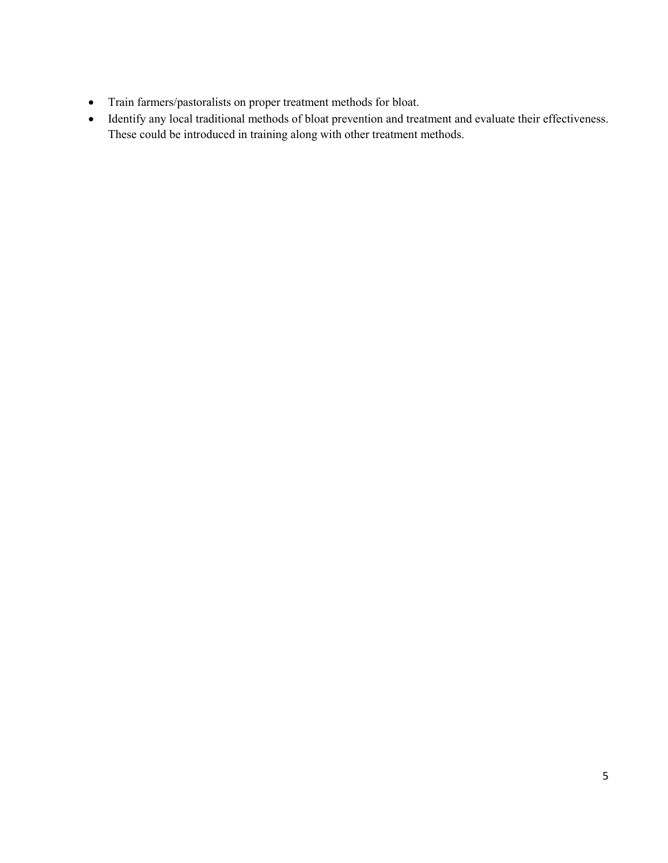- Train farmers/pastoralists on proper treatment methods for bloat.
- Identify any local traditional methods of bloat prevention and treatment and evaluate their effectiveness. These could be introduced in training along with other treatment methods.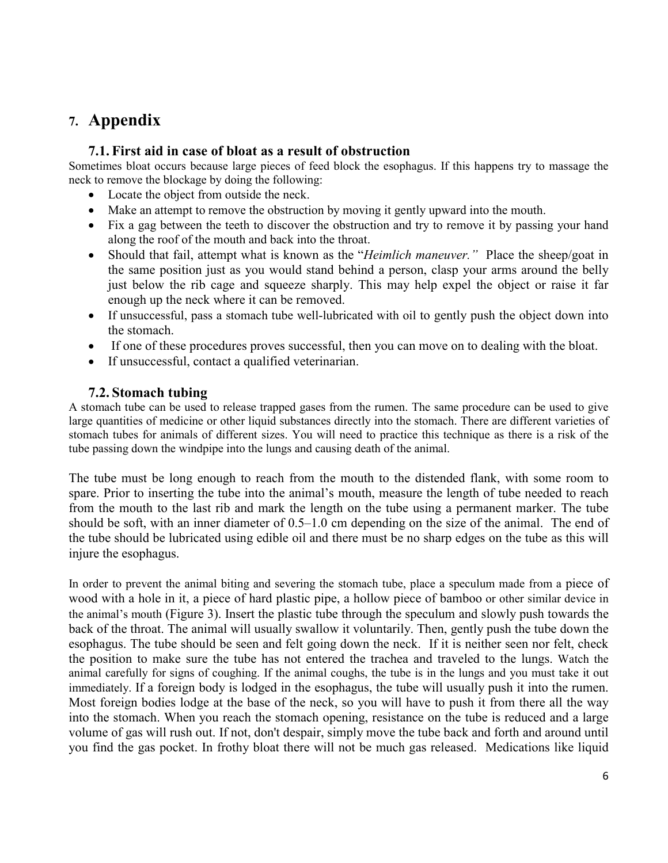## **7. Appendix**

#### **7.1. First aid in case of bloat as a result of obstruction**

Sometimes bloat occurs because large pieces of feed block the esophagus. If this happens try to massage the neck to remove the blockage by doing the following:

- Locate the object from outside the neck.
- Make an attempt to remove the obstruction by moving it gently upward into the mouth.
- Fix a gag between the teeth to discover the obstruction and try to remove it by passing your hand along the roof of the mouth and back into the throat.
- Should that fail, attempt what is known as the "*Heimlich maneuver."* Place the sheep/goat in the same position just as you would stand behind a person, clasp your arms around the belly just below the rib cage and squeeze sharply. This may help expel the object or raise it far enough up the neck where it can be removed.
- If unsuccessful, pass a stomach tube well-lubricated with oil to gently push the object down into the stomach.
- If one of these procedures proves successful, then you can move on to dealing with the bloat.
- If unsuccessful, contact a qualified veterinarian.

#### **7.2. Stomach tubing**

A stomach tube can be used to release trapped gases from the rumen. The same procedure can be used to give large quantities of medicine or other liquid substances directly into the stomach. There are different varieties of stomach tubes for animals of different sizes. You will need to practice this technique as there is a risk of the tube passing down the windpipe into the lungs and causing death of the animal.

The tube must be long enough to reach from the mouth to the distended flank, with some room to spare. Prior to inserting the tube into the animal's mouth, measure the length of tube needed to reach from the mouth to the last rib and mark the length on the tube using a permanent marker. The tube should be soft, with an inner diameter of 0.5–1.0 cm depending on the size of the animal. The end of the tube should be lubricated using edible oil and there must be no sharp edges on the tube as this will injure the esophagus.

In order to prevent the animal biting and severing the stomach tube, place a speculum made from a piece of wood with a hole in it, a piece of hard plastic pipe, a hollow piece of bamboo or other similar device in the animal's mouth (Figure 3). Insert the plastic tube through the speculum and slowly push towards the back of the throat. The animal will usually swallow it voluntarily. Then, gently push the tube down the esophagus. The tube should be seen and felt going down the neck. If it is neither seen nor felt, check the position to make sure the tube has not entered the trachea and traveled to the lungs. Watch the animal carefully for signs of coughing. If the animal coughs, the tube is in the lungs and you must take it out immediately. If a foreign body is lodged in the esophagus, the tube will usually push it into the rumen. Most foreign bodies lodge at the base of the neck, so you will have to push it from there all the way into the stomach. When you reach the stomach opening, resistance on the tube is reduced and a large volume of gas will rush out. If not, don't despair, simply move the tube back and forth and around until you find the gas pocket. In frothy bloat there will not be much gas released. Medications like liquid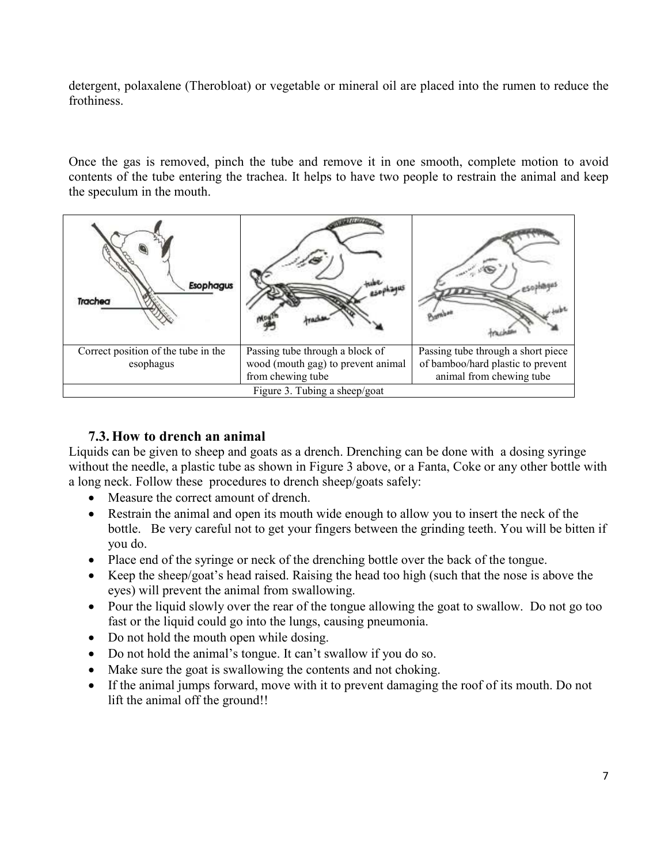detergent, polaxalene (Therobloat) or vegetable or mineral oil are placed into the rumen to reduce the frothiness.

Once the gas is removed, pinch the tube and remove it in one smooth, complete motion to avoid contents of the tube entering the trachea. It helps to have two people to restrain the animal and keep the speculum in the mouth.



#### **7.3. How to drench an animal**

Liquids can be given to sheep and goats as a drench. Drenching can be done with a dosing syringe without the needle, a plastic tube as shown in Figure 3 above, or a Fanta, Coke or any other bottle with a long neck. Follow these procedures to drench sheep/goats safely:

- Measure the correct amount of drench.
- Restrain the animal and open its mouth wide enough to allow you to insert the neck of the bottle. Be very careful not to get your fingers between the grinding teeth. You will be bitten if you do.
- Place end of the syringe or neck of the drenching bottle over the back of the tongue.
- Keep the sheep/goat's head raised. Raising the head too high (such that the nose is above the eyes) will prevent the animal from swallowing.
- Pour the liquid slowly over the rear of the tongue allowing the goat to swallow. Do not go too fast or the liquid could go into the lungs, causing pneumonia.
- Do not hold the mouth open while dosing.
- Do not hold the animal's tongue. It can't swallow if you do so.
- Make sure the goat is swallowing the contents and not choking.
- If the animal jumps forward, move with it to prevent damaging the roof of its mouth. Do not lift the animal off the ground!!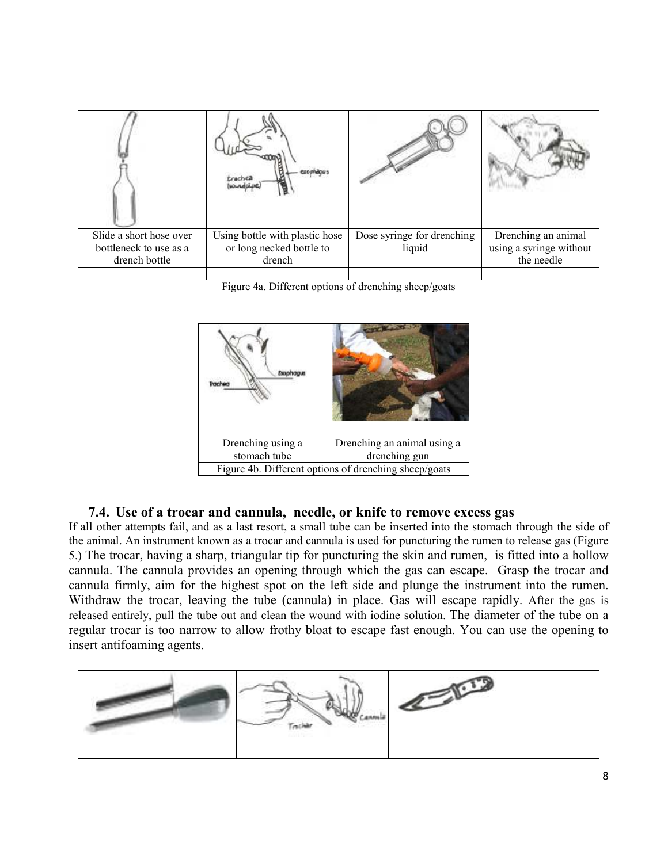| Slide a short hose over<br>bottleneck to use as a<br>drench bottle | Using bottle with plastic hose<br>or long necked bottle to<br>drench | Dose syringe for drenching<br>liquid | Drenching an animal<br>using a syringe without<br>the needle |  |  |
|--------------------------------------------------------------------|----------------------------------------------------------------------|--------------------------------------|--------------------------------------------------------------|--|--|
| Figure 4a. Different options of drenching sheep/goats              |                                                                      |                                      |                                                              |  |  |



#### **7.4. Use of a trocar and cannula, needle, or knife to remove excess gas**

If all other attempts fail, and as a last resort, a small tube can be inserted into the stomach through the side of the animal. An instrument known as a trocar and cannula is used for puncturing the rumen to release gas (Figure 5.) The trocar, having a sharp, triangular tip for puncturing the skin and rumen, is fitted into a hollow cannula. The cannula provides an opening through which the gas can escape. Grasp the trocar and cannula firmly, aim for the highest spot on the left side and plunge the instrument into the rumen. Withdraw the trocar, leaving the tube (cannula) in place. Gas will escape rapidly. After the gas is released entirely, pull the tube out and clean the wound with iodine solution. The diameter of the tube on a regular trocar is too narrow to allow frothy bloat to escape fast enough. You can use the opening to insert antifoaming agents.